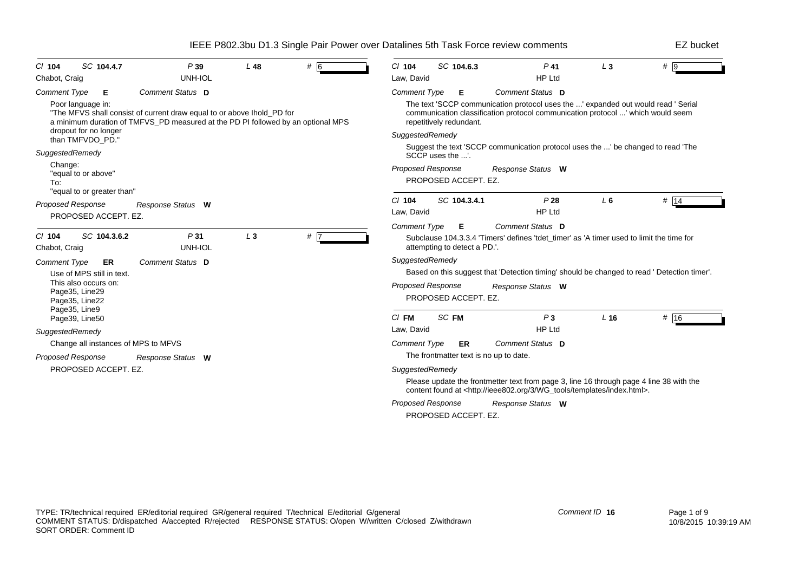| $Cl$ 104                                                                                                                               | SC 104.4.7                                                                           |  | P39                        | L48                                         | # 6                 | $Cl$ 104                                                                                                                                                                                                                                                           |                                                                                                                 | SC 104.6.3                                                 | $P$ 41                                                                                                                                                                                                        | $L_3$           | #   9 |
|----------------------------------------------------------------------------------------------------------------------------------------|--------------------------------------------------------------------------------------|--|----------------------------|---------------------------------------------|---------------------|--------------------------------------------------------------------------------------------------------------------------------------------------------------------------------------------------------------------------------------------------------------------|-----------------------------------------------------------------------------------------------------------------|------------------------------------------------------------|---------------------------------------------------------------------------------------------------------------------------------------------------------------------------------------------------------------|-----------------|-------|
| Chabot, Craig                                                                                                                          |                                                                                      |  | UNH-IOL                    |                                             |                     | Law, David                                                                                                                                                                                                                                                         |                                                                                                                 |                                                            | <b>HP Ltd</b>                                                                                                                                                                                                 |                 |       |
| Comment Status D<br>Comment Type<br>Е<br>Poor language in:<br>"The MFVS shall consist of current draw equal to or above lhold_PD for   |                                                                                      |  |                            |                                             |                     | Comment Status D<br><b>Comment Type</b><br>Е<br>The text 'SCCP communication protocol uses the ' expanded out would read ' Serial<br>communication classification protocol communication protocol ' which would seem<br>repetitively redundant.<br>SuggestedRemedy |                                                                                                                 |                                                            |                                                                                                                                                                                                               |                 |       |
| a minimum duration of TMFVS_PD measured at the PD PI followed by an optional MPS<br>dropout for no longer<br>than TMFVDO PD."          |                                                                                      |  |                            |                                             |                     |                                                                                                                                                                                                                                                                    |                                                                                                                 |                                                            |                                                                                                                                                                                                               |                 |       |
| SuggestedRemedy                                                                                                                        |                                                                                      |  |                            |                                             |                     | SCCP uses the '.                                                                                                                                                                                                                                                   |                                                                                                                 |                                                            | Suggest the text 'SCCP communication protocol uses the ' be changed to read 'The                                                                                                                              |                 |       |
| Change:<br>To:                                                                                                                         | "equal to or above"<br>"equal to or greater than"                                    |  |                            |                                             |                     | <b>Proposed Response</b>                                                                                                                                                                                                                                           |                                                                                                                 | PROPOSED ACCEPT. EZ.                                       | Response Status W                                                                                                                                                                                             |                 |       |
| Proposed Response                                                                                                                      | PROPOSED ACCEPT. EZ.                                                                 |  | Response Status W          |                                             |                     | $Cl$ 104<br>Law, David                                                                                                                                                                                                                                             |                                                                                                                 | SC 104.3.4.1                                               | P28<br><b>HP Ltd</b>                                                                                                                                                                                          | L6              | # 14  |
| $Cl$ 104<br>Chabot, Craig                                                                                                              | SC 104.3.6.2                                                                         |  | P <sub>31</sub><br>UNH-IOL | $L_3$                                       | $#$ 7               | <b>Comment Type</b>                                                                                                                                                                                                                                                |                                                                                                                 | Е<br>attempting to detect a PD.'.                          | Comment Status D<br>Subclause 104.3.3.4 'Timers' defines 'tdet timer' as 'A timer used to limit the time for                                                                                                  |                 |       |
| Comment Status D<br><b>Comment Type</b><br>ER<br>Use of MPS still in text.<br>This also occurs on:<br>Page35, Line29<br>Page35, Line22 |                                                                                      |  |                            | SuggestedRemedy<br><b>Proposed Response</b> |                     | PROPOSED ACCEPT. EZ.                                                                                                                                                                                                                                               | Based on this suggest that 'Detection timing' should be changed to read 'Detection timer'.<br>Response Status W |                                                            |                                                                                                                                                                                                               |                 |       |
| SuggestedRemedy                                                                                                                        | Page35, Line9<br>Page39, Line50                                                      |  |                            |                                             |                     | $C/$ FM<br>Law, David                                                                                                                                                                                                                                              | SC FM                                                                                                           |                                                            | P <sub>3</sub><br><b>HP Ltd</b>                                                                                                                                                                               | L <sub>16</sub> | # 16  |
|                                                                                                                                        | Change all instances of MPS to MFVS<br><b>Proposed Response</b><br>Response Status W |  |                            |                                             | <b>Comment Type</b> |                                                                                                                                                                                                                                                                    | <b>ER</b>                                                                                                       | Comment Status D<br>The frontmatter text is no up to date. |                                                                                                                                                                                                               |                 |       |
|                                                                                                                                        | PROPOSED ACCEPT. EZ.                                                                 |  |                            |                                             |                     | SuggestedRemedy<br><b>Proposed Response</b>                                                                                                                                                                                                                        |                                                                                                                 | PROPOSED ACCEPT. EZ.                                       | Please update the frontmetter text from page 3, line 16 through page 4 line 38 with the<br>content found at <http: 3="" ieee802.org="" index.html="" templates="" wg_tools="">.<br/>Response Status W</http:> |                 |       |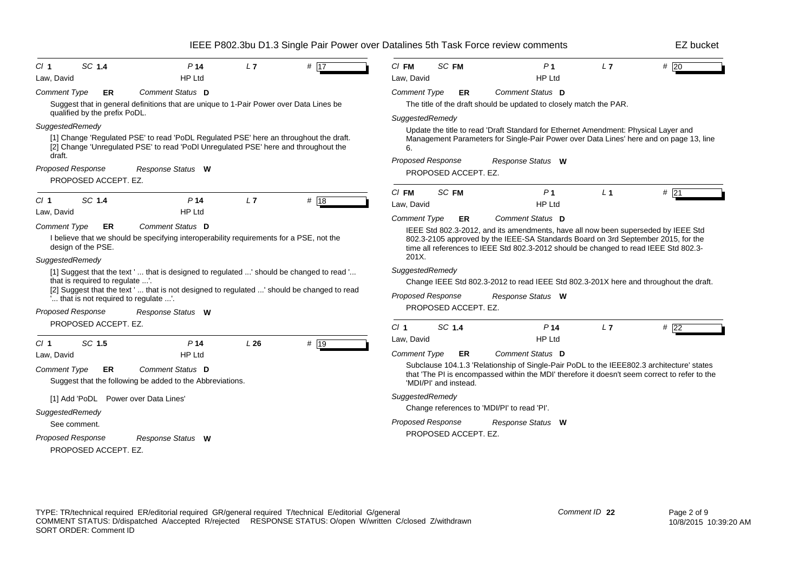| CI <sub>1</sub>               | SC 1.4                                                     | P <sub>14</sub>                                                                                                                                                                       | L7  | # 17 | $Cl$ FM                                     | SC FM                 |     | P <sub>1</sub>                                                                                                                                                                                                                                                 | L7             | #20    |
|-------------------------------|------------------------------------------------------------|---------------------------------------------------------------------------------------------------------------------------------------------------------------------------------------|-----|------|---------------------------------------------|-----------------------|-----|----------------------------------------------------------------------------------------------------------------------------------------------------------------------------------------------------------------------------------------------------------------|----------------|--------|
| Law, David                    |                                                            | HP Ltd                                                                                                                                                                                |     |      | Law, David                                  |                       |     | HP Ltd                                                                                                                                                                                                                                                         |                |        |
| <b>Comment Type</b>           | ER<br>qualified by the prefix PoDL.                        | Comment Status D<br>Suggest that in general definitions that are unique to 1-Pair Power over Data Lines be                                                                            |     |      | <b>Comment Type</b><br>SuggestedRemedy      |                       | ER. | Comment Status D<br>The title of the draft should be updated to closely match the PAR.                                                                                                                                                                         |                |        |
| SuggestedRemedy<br>draft.     |                                                            | [1] Change 'Regulated PSE' to read 'PoDL Regulated PSE' here an throughout the draft.<br>[2] Change 'Unregulated PSE' to read 'PoDI Unregulated PSE' here and throughout the          |     |      | 6.<br><b>Proposed Response</b>              |                       |     | Update the title to read 'Draft Standard for Ethernet Amendment: Physical Layer and<br>Management Parameters for Single-Pair Power over Data Lines' here and on page 13, line<br>Response Status W                                                             |                |        |
|                               | <b>Proposed Response</b><br>PROPOSED ACCEPT. EZ.           | Response Status W                                                                                                                                                                     |     |      |                                             | PROPOSED ACCEPT. EZ.  |     |                                                                                                                                                                                                                                                                |                |        |
| Cl <sub>1</sub><br>Law, David | SC 1.4                                                     | P <sub>14</sub><br><b>HP Ltd</b>                                                                                                                                                      | L7  | # 18 | $CI$ FM<br>Law, David                       | SC FM                 |     | P <sub>1</sub><br><b>HP Ltd</b>                                                                                                                                                                                                                                | L <sub>1</sub> | $#$ 21 |
| Comment Type                  |                                                            | Comment Status D                                                                                                                                                                      |     |      | <b>Comment Type</b>                         |                       | ER  | Comment Status D                                                                                                                                                                                                                                               |                |        |
| SuggestedRemedy               | ER<br>design of the PSE.                                   | I believe that we should be specifying interoperability requirements for a PSE, not the                                                                                               |     |      | 201X.                                       |                       |     | IEEE Std 802.3-2012, and its amendments, have all now been superseded by IEEE Std<br>802.3-2105 approved by the IEEE-SA Standards Board on 3rd September 2015, for the<br>time all references to IEEE Std 802.3-2012 should be changed to read IEEE Std 802.3- |                |        |
|                               | that is required to regulate '.                            | [1] Suggest that the text ' that is designed to regulated ' should be changed to read '<br>[2] Suggest that the text '  that is not designed to regulated ' should be changed to read |     |      | SuggestedRemedy<br><b>Proposed Response</b> |                       |     | Change IEEE Std 802.3-2012 to read IEEE Std 802.3-201X here and throughout the draft.<br>Response Status W                                                                                                                                                     |                |        |
|                               | " that is not required to regulate ".<br>Proposed Response | Response Status W                                                                                                                                                                     |     |      |                                             | PROPOSED ACCEPT. EZ.  |     |                                                                                                                                                                                                                                                                |                |        |
|                               | PROPOSED ACCEPT. EZ.                                       |                                                                                                                                                                                       |     |      | Cl <sub>1</sub>                             | SC 1.4                |     | P <sub>14</sub>                                                                                                                                                                                                                                                | L7             | #22    |
| Cl <sub>1</sub>               | SC 1.5                                                     | P <sub>14</sub>                                                                                                                                                                       | L26 | # 19 | Law, David                                  |                       |     | <b>HP Ltd</b>                                                                                                                                                                                                                                                  |                |        |
| Law, David                    |                                                            | <b>HP Ltd</b>                                                                                                                                                                         |     |      | Comment Type                                |                       | ER  | Comment Status D                                                                                                                                                                                                                                               |                |        |
| <b>Comment Type</b>           | ER                                                         | Comment Status D<br>Suggest that the following be added to the Abbreviations.                                                                                                         |     |      |                                             | 'MDI/PI' and instead. |     | Subclause 104.1.3 'Relationship of Single-Pair PoDL to the IEEE802.3 architecture' states<br>that 'The PI is encompassed within the MDI' therefore it doesn't seem correct to refer to the                                                                     |                |        |
|                               | [1] Add 'PoDL Power over Data Lines'                       |                                                                                                                                                                                       |     |      | SuggestedRemedy                             |                       |     |                                                                                                                                                                                                                                                                |                |        |
| SuggestedRemedy               |                                                            |                                                                                                                                                                                       |     |      |                                             |                       |     | Change references to 'MDI/PI' to read 'PI'.                                                                                                                                                                                                                    |                |        |
|                               | See comment.                                               |                                                                                                                                                                                       |     |      | Proposed Response                           |                       |     | Response Status W                                                                                                                                                                                                                                              |                |        |
|                               | <b>Proposed Response</b><br>PROPOSED ACCEPT. EZ.           | Response Status W                                                                                                                                                                     |     |      |                                             | PROPOSED ACCEPT. EZ.  |     |                                                                                                                                                                                                                                                                |                |        |
|                               |                                                            |                                                                                                                                                                                       |     |      |                                             |                       |     |                                                                                                                                                                                                                                                                |                |        |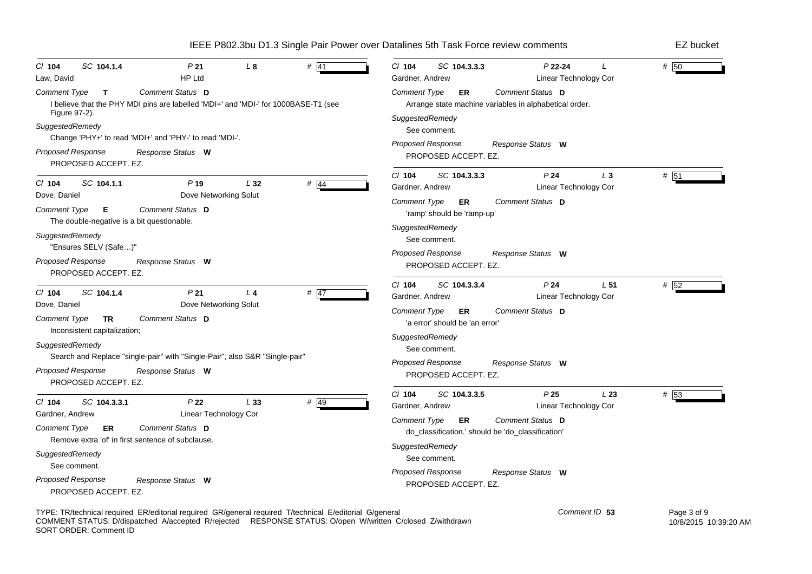| SC 104.1.4<br>$CI$ 104<br>Law, David                                                                                                                                                                                 | P <sub>21</sub><br><b>HP Ltd</b>                                                                                                                                 | L8             | # 41   | # 50<br>SC 104.3.3.3<br>$P$ 22-24<br>$Cl$ 104<br>Linear Technology Cor<br>Gardner, Andrew                                                                                                                                                                                                                           |  |  |  |  |  |  |
|----------------------------------------------------------------------------------------------------------------------------------------------------------------------------------------------------------------------|------------------------------------------------------------------------------------------------------------------------------------------------------------------|----------------|--------|---------------------------------------------------------------------------------------------------------------------------------------------------------------------------------------------------------------------------------------------------------------------------------------------------------------------|--|--|--|--|--|--|
| <b>Comment Type</b><br>$\mathbf{T}$<br>Figure 97-2).                                                                                                                                                                 | Comment Status D<br>I believe that the PHY MDI pins are labelled 'MDI+' and 'MDI-' for 1000BASE-T1 (see                                                          |                |        | Comment Status D<br>Comment Type<br>ER.<br>Arrange state machine variables in alphabetical order.<br>SuggestedRemedy                                                                                                                                                                                                |  |  |  |  |  |  |
| SuggestedRemedy<br><b>Proposed Response</b><br>PROPOSED ACCEPT. EZ.                                                                                                                                                  | Change 'PHY+' to read 'MDI+' and 'PHY-' to read 'MDI-'.<br>Response Status W                                                                                     |                |        | See comment.<br><b>Proposed Response</b><br>Response Status W<br>PROPOSED ACCEPT. EZ.                                                                                                                                                                                                                               |  |  |  |  |  |  |
| SC 104.1.1<br>$CI$ 104<br>Dove, Daniel<br><b>Comment Type</b><br>E<br>The double-negative is a bit questionable.                                                                                                     | P <sub>19</sub><br>Dove Networking Solut<br>Comment Status D                                                                                                     | L32            | # $44$ | # $51$<br>$Cl$ 104<br>SC 104.3.3.3<br>P24<br>$L_3$<br>Linear Technology Cor<br>Gardner, Andrew<br>Comment Status D<br>Comment Type<br>ER<br>'ramp' should be 'ramp-up'<br>SuggestedRemedy                                                                                                                           |  |  |  |  |  |  |
| SuggestedRemedy<br>"Ensures SELV (Safe)"<br>Proposed Response<br>PROPOSED ACCEPT. EZ.                                                                                                                                | Response Status W                                                                                                                                                |                |        | See comment.<br><b>Proposed Response</b><br>Response Status W<br>PROPOSED ACCEPT. EZ.                                                                                                                                                                                                                               |  |  |  |  |  |  |
| SC 104.1.4<br>$CI$ 104<br>Dove, Daniel<br><b>Comment Type</b><br>TR<br>Inconsistent capitalization;<br>SuggestedRemedy<br><b>Proposed Response</b><br>PROPOSED ACCEPT. EZ.                                           | P <sub>21</sub><br>Dove Networking Solut<br>Comment Status D<br>Search and Replace "single-pair" with "Single-Pair", also S&R "Single-pair"<br>Response Status W | L <sub>4</sub> | $#$ 47 | P <sub>24</sub><br># 52<br>$Cl$ 104<br>SC 104.3.3.4<br>L <sub>51</sub><br>Linear Technology Cor<br>Gardner, Andrew<br><b>Comment Status</b> D<br>Comment Type<br>ER<br>'a error' should be 'an error'<br>SuggestedRemedy<br>See comment.<br>Proposed Response<br>Response Status W<br>PROPOSED ACCEPT. EZ.          |  |  |  |  |  |  |
| SC 104.3.3.1<br>$CI$ 104<br>Gardner, Andrew<br><b>Comment Type</b><br>ER<br>Remove extra 'of' in first sentence of subclause.<br>SuggestedRemedy<br>See comment.<br><b>Proposed Response</b><br>PROPOSED ACCEPT. EZ. | P22<br>Linear Technology Cor<br>Comment Status D<br>Response Status W                                                                                            | L33            | # 49   | # 53<br>P25<br>L23<br>$Cl$ 104<br>SC 104.3.3.5<br>Gardner, Andrew<br>Linear Technology Cor<br>Comment Status D<br><b>Comment Type</b><br><b>ER</b><br>do_classification.' should be 'do_classification'<br>SuggestedRemedy<br>See comment.<br><b>Proposed Response</b><br>Response Status W<br>PROPOSED ACCEPT. EZ. |  |  |  |  |  |  |
| TYPE: TR/technical required ER/editorial required GR/general required T/technical E/editorial G/general                                                                                                              |                                                                                                                                                                  |                |        | Comment ID 53<br>Page 3 of 9                                                                                                                                                                                                                                                                                        |  |  |  |  |  |  |

COMMENT STATUS: D/dispatched A/accepted R/rejected RESPONSE STATUS: O/open W/written C/closed Z/withdrawn SORT ORDER: Comment ID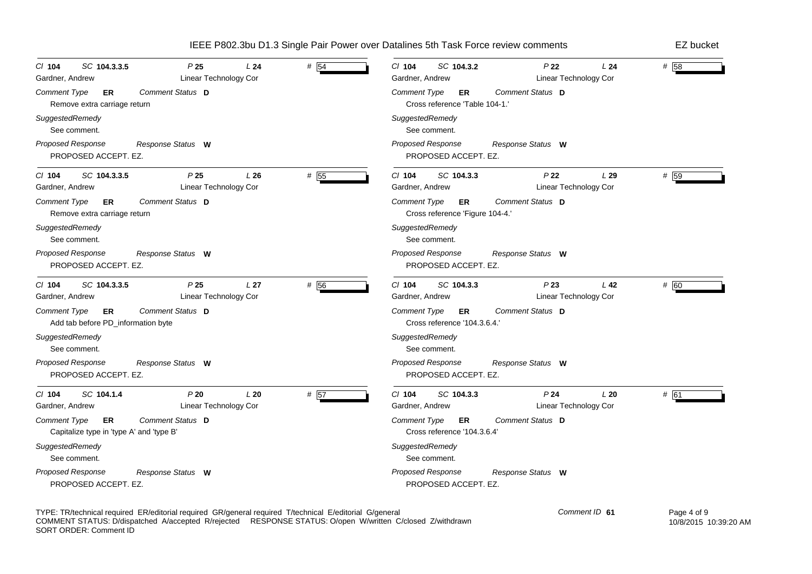| # 54                                     | SC 104.3.2                      |
|------------------------------------------|---------------------------------|
| SC 104.3.3.5                             | # 58                            |
| P <sub>25</sub>                          | $CI$ 104                        |
| $CI$ 104                                 | P22                             |
| L 24                                     | L24                             |
| Linear Technology Cor                    | Linear Technology Cor           |
| Gardner, Andrew                          | Gardner, Andrew                 |
| Comment Status D                         | Comment Status D                |
| Comment Type                             | <b>Comment Type</b>             |
| ER                                       | ER                              |
| Remove extra carriage return             | Cross reference 'Table 104-1.'  |
| SuggestedRemedy                          | SuggestedRemedy                 |
| See comment.                             | See comment.                    |
| Proposed Response                        | Proposed Response               |
| Response Status W                        | Response Status W               |
| PROPOSED ACCEPT. EZ.                     | PROPOSED ACCEPT. EZ.            |
| # 55                                     | $Cl$ 104                        |
| SC 104.3.3.5                             | SC 104.3.3                      |
| P <sub>25</sub>                          | P <sub>22</sub>                 |
| $CI$ 104                                 | # 59                            |
| L26                                      | L29                             |
| Linear Technology Cor                    | Gardner, Andrew                 |
| Gardner, Andrew                          | Linear Technology Cor           |
| Comment Status D                         | Comment Status D                |
| <b>Comment Type</b>                      | <b>Comment Type</b>             |
| ER                                       | <b>ER</b>                       |
| Remove extra carriage return             | Cross reference 'Figure 104-4.' |
| SuggestedRemedy                          | SuggestedRemedy                 |
| See comment.                             | See comment.                    |
| Proposed Response                        | Proposed Response               |
| Response Status W                        | Response Status W               |
| PROPOSED ACCEPT. EZ.                     | PROPOSED ACCEPT. EZ.            |
| SC 104.3.3.5                             | C/ 104                          |
| P <sub>25</sub>                          | SC 104.3.3                      |
| L <sub>27</sub>                          | P <sub>23</sub>                 |
| # 56                                     | L <sub>42</sub>                 |
| $CI$ 104                                 | # 60                            |
| Linear Technology Cor                    | Gardner, Andrew                 |
| Gardner, Andrew                          | Linear Technology Cor           |
| Comment Status D                         | Comment Type                    |
| <b>Comment Type</b>                      | Comment Status D                |
| ER                                       | ER                              |
| Add tab before PD_information byte       | Cross reference '104.3.6.4.'    |
| SuggestedRemedy                          | SuggestedRemedy                 |
| See comment.                             | See comment.                    |
| Proposed Response                        | Proposed Response               |
| Response Status W                        | Response Status W               |
| PROPOSED ACCEPT. EZ.                     | PROPOSED ACCEPT. EZ.            |
| # 57                                     | # 61                            |
| SC 104.1.4                               | $Cl$ 104                        |
| P20                                      | SC 104.3.3                      |
| L20                                      | P <sub>24</sub>                 |
| $CI$ 104                                 | L20                             |
| Linear Technology Cor                    | Linear Technology Cor           |
| Gardner, Andrew                          | Gardner, Andrew                 |
| Comment Status D                         | Comment Status D                |
| <b>Comment Type</b>                      | <b>Comment Type</b>             |
| ER                                       | ER.                             |
| Capitalize type in 'type A' and 'type B' | Cross reference '104.3.6.4'     |
| SuggestedRemedy                          | SuggestedRemedy                 |
| See comment.                             | See comment.                    |
| Proposed Response                        | Proposed Response               |
| Response Status W                        | Response Status W               |
| PROPOSED ACCEPT. EZ.                     | PROPOSED ACCEPT. EZ.            |

TYPE: TR/technical required ER/editorial required GR/general required T/technical E/editorial G/general COMMENT STATUS: D/dispatched A/accepted R/rejected RESPONSE STATUS: O/open W/written C/closed Z/withdrawn SORT ORDER: Comment ID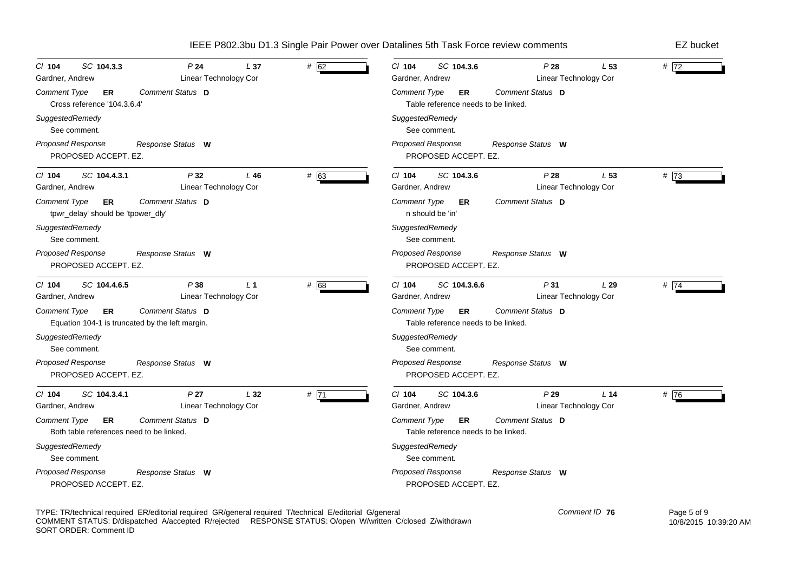| SC 104.3.3                                      | $Cl$ 104                            |
|-------------------------------------------------|-------------------------------------|
| # 62                                            | SC 104.3.6                          |
| P24                                             | # $\overline{72}$                   |
| $CI$ 104                                        | P28                                 |
| L 37                                            | L53                                 |
| Linear Technology Cor                           | Gardner, Andrew                     |
| Gardner, Andrew                                 | <b>Linear Technology Cor</b>        |
| Comment Status D                                | Comment Status D                    |
| <b>Comment Type</b>                             | <b>Comment Type</b>                 |
| ER                                              | ER                                  |
| Cross reference '104.3.6.4'                     | Table reference needs to be linked. |
| SuggestedRemedy                                 | SuggestedRemedy                     |
| See comment.                                    | See comment.                        |
| Proposed Response                               | <b>Proposed Response</b>            |
| Response Status W                               | Response Status W                   |
| PROPOSED ACCEPT. EZ.                            | PROPOSED ACCEPT. EZ.                |
| # 63                                            | #73                                 |
| SC 104.4.3.1                                    | $Cl$ 104                            |
| L46                                             | SC 104.3.6                          |
| $Cl$ 104                                        | P28                                 |
| P32                                             | L53                                 |
| Linear Technology Cor                           | Linear Technology Cor               |
| Gardner, Andrew                                 | Gardner, Andrew                     |
| Comment Status D                                | Comment Status D                    |
| <b>Comment Type</b>                             | <b>Comment Type</b>                 |
| ER                                              | ER                                  |
| tpwr_delay' should be 'tpower_dly'              | n should be 'in'                    |
| SuggestedRemedy                                 | SuggestedRemedy                     |
| See comment.                                    | See comment.                        |
| Proposed Response                               | <b>Proposed Response</b>            |
| Response Status W                               | Response Status W                   |
| PROPOSED ACCEPT. EZ.                            | PROPOSED ACCEPT. EZ.                |
| # 68                                            | # 74                                |
| SC 104.4.6.5                                    | $Cl$ 104                            |
| P38                                             | SC 104.3.6.6                        |
| L <sub>1</sub>                                  | P31                                 |
| $CI$ 104                                        | L29                                 |
| Linear Technology Cor                           | Linear Technology Cor               |
| Gardner, Andrew                                 | Gardner, Andrew                     |
| Comment Status D                                | Comment Status D                    |
| <b>Comment Type</b>                             | <b>Comment Type</b>                 |
| ER                                              | ER                                  |
| Equation 104-1 is truncated by the left margin. | Table reference needs to be linked. |
| SuggestedRemedy                                 | SuggestedRemedy                     |
| See comment.                                    | See comment.                        |
| Proposed Response                               | Proposed Response                   |
| Response Status W                               | Response Status W                   |
| PROPOSED ACCEPT. EZ.                            | PROPOSED ACCEPT. EZ.                |
| # 71                                            | P29                                 |
| SC 104.3.4.1                                    | # 76                                |
| P <sub>27</sub>                                 | $Cl$ 104                            |
| L32                                             | SC 104.3.6                          |
| $Cl$ 104                                        | L <sub>14</sub>                     |
| Linear Technology Cor                           | Gardner, Andrew                     |
| Gardner, Andrew                                 | <b>Linear Technology Cor</b>        |
| Comment Status D                                | <b>Comment Type</b>                 |
| <b>Comment Type</b>                             | Comment Status D                    |
| <b>ER</b>                                       | <b>ER</b>                           |
| Both table references need to be linked.        | Table reference needs to be linked. |
| SuggestedRemedy                                 | SuggestedRemedy                     |
| See comment.                                    | See comment.                        |
| <b>Proposed Response</b>                        | Proposed Response                   |
| Response Status W                               | Response Status W                   |
| PROPOSED ACCEPT. EZ.                            | PROPOSED ACCEPT. EZ.                |

TYPE: TR/technical required ER/editorial required GR/general required T/technical E/editorial G/general COMMENT STATUS: D/dispatched A/accepted R/rejected RESPONSE STATUS: O/open W/written C/closed Z/withdrawn SORT ORDER: Comment ID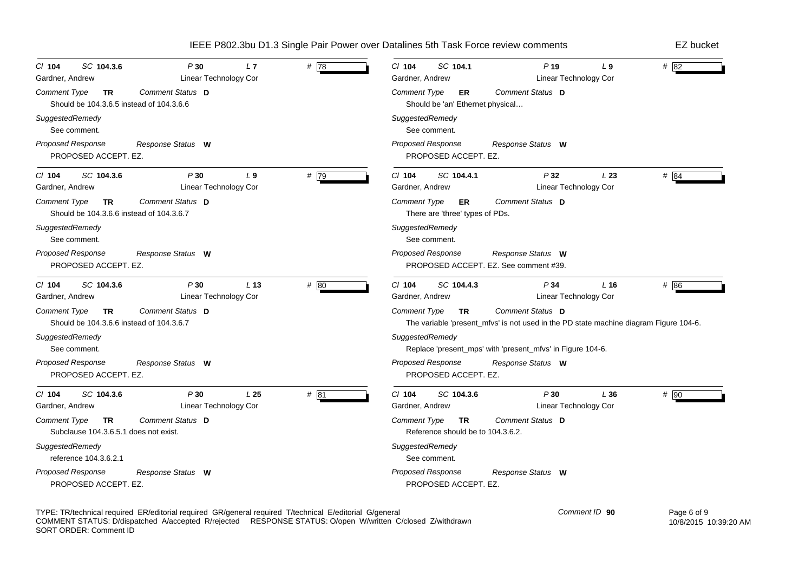| SC 104.3.6                               | $Cl$ 104                                                                              |
|------------------------------------------|---------------------------------------------------------------------------------------|
| P30                                      | SC 104.1                                                                              |
| # 78                                     | # 82                                                                                  |
| $CI$ 104                                 | $P$ 19                                                                                |
| L <sub>7</sub>                           | L9                                                                                    |
| Linear Technology Cor                    | Linear Technology Cor                                                                 |
| Gardner, Andrew                          | Gardner, Andrew                                                                       |
| Comment Status D                         | Comment Status D                                                                      |
| Comment Type                             | <b>Comment Type</b>                                                                   |
| TR                                       | ER                                                                                    |
| Should be 104.3.6.5 instead of 104.3.6.6 | Should be 'an' Ethernet physical                                                      |
| SuggestedRemedy                          | SuggestedRemedy                                                                       |
| See comment.                             | See comment.                                                                          |
| Proposed Response                        | Proposed Response                                                                     |
| Response Status W                        | Response Status W                                                                     |
| PROPOSED ACCEPT. EZ.                     | PROPOSED ACCEPT. EZ.                                                                  |
| # 79                                     | $Cl$ 104                                                                              |
| SC 104.3.6                               | SC 104.4.1                                                                            |
| P30                                      | P32                                                                                   |
| L <sub>9</sub>                           | # 84                                                                                  |
| $Cl$ 104                                 | L23                                                                                   |
| Linear Technology Cor                    | Gardner, Andrew                                                                       |
| Gardner, Andrew                          | Linear Technology Cor                                                                 |
| Comment Status D                         | <b>Comment Type</b>                                                                   |
| <b>Comment Type</b>                      | Comment Status D                                                                      |
| TR.                                      | <b>ER</b>                                                                             |
| Should be 104.3.6.6 instead of 104.3.6.7 | There are 'three' types of PDs.                                                       |
| SuggestedRemedy                          | SuggestedRemedy                                                                       |
| See comment.                             | See comment.                                                                          |
| <b>Proposed Response</b>                 | <b>Proposed Response</b>                                                              |
| Response Status W                        | Response Status W                                                                     |
| PROPOSED ACCEPT. EZ.                     | PROPOSED ACCEPT. EZ. See comment #39.                                                 |
| SC 104.3.6                               | $Cl$ 104                                                                              |
| P30                                      | SC 104.4.3                                                                            |
| L <sub>13</sub>                          | P34                                                                                   |
| # 80                                     | L16                                                                                   |
| $CI$ 104                                 | $#$ 86                                                                                |
| Linear Technology Cor                    | Gardner, Andrew                                                                       |
| Gardner, Andrew                          | <b>Linear Technology Cor</b>                                                          |
| Comment Status D                         | Comment Status D                                                                      |
| Comment Type                             | <b>Comment Type</b>                                                                   |
| TR.                                      | TR.                                                                                   |
| Should be 104.3.6.6 instead of 104.3.6.7 | The variable 'present_mfvs' is not used in the PD state machine diagram Figure 104-6. |
| SuggestedRemedy                          | SuggestedRemedy                                                                       |
| See comment.                             | Replace 'present_mps' with 'present_mfvs' in Figure 104-6.                            |
| <b>Proposed Response</b>                 | Proposed Response                                                                     |
| Response Status W                        | Response Status W                                                                     |
| PROPOSED ACCEPT. EZ.                     | PROPOSED ACCEPT. EZ.                                                                  |
| # 81                                     | $Cl$ 104                                                                              |
| $Cl$ 104                                 | SC 104.3.6                                                                            |
| SC 104.3.6                               | # 90                                                                                  |
| P30                                      | P30                                                                                   |
| L <sub>25</sub>                          | L36                                                                                   |
| Linear Technology Cor                    | Gardner, Andrew                                                                       |
| Gardner, Andrew                          | Linear Technology Cor                                                                 |
| Comment Status D                         | Comment Status D                                                                      |
| <b>Comment Type</b>                      | <b>Comment Type</b>                                                                   |
| <b>TR</b>                                | TR.                                                                                   |
| Subclause 104.3.6.5.1 does not exist.    | Reference should be to 104.3.6.2.                                                     |
| SuggestedRemedy                          | SuggestedRemedy                                                                       |
| reference 104.3.6.2.1                    | See comment.                                                                          |
| <b>Proposed Response</b>                 | <b>Proposed Response</b>                                                              |
| Response Status W                        | Response Status W                                                                     |
| PROPOSED ACCEPT. EZ.                     | PROPOSED ACCEPT. EZ.                                                                  |

TYPE: TR/technical required ER/editorial required GR/general required T/technical E/editorial G/general COMMENT STATUS: D/dispatched A/accepted R/rejected RESPONSE STATUS: O/open W/written C/closed Z/withdrawn SORT ORDER: Comment ID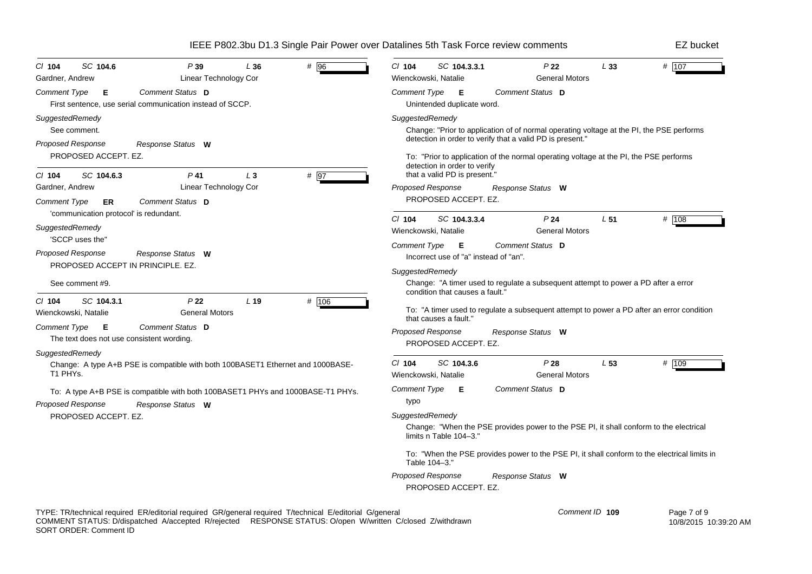*Proposed Response Cl* **104** *SC* **104.6** *P* **39** *L* **36** *#* 96*Comment Type* **E** First sentence, use serial communication instead of SCCP. *SuggestedRemedy* See comment.PROPOSED ACCEPT. EZ.*Comment Status* **D***Response Status* **W** Gardner, Andrew **Linear Technology Cor** *Proposed Response Cl* **104** *SC* **104.6.3** *P* **41** *L* **3** *#* 97*Comment Type* **ER** 'communication protocol' is redundant. *SuggestedRemedy* 'SCCP uses the''PROPOSED ACCEPT IN PRINCIPLE. EZ.See comment #9.*Comment Status* **D***Response Status* **W** Gardner, Andrew **Linear Technology Cor** *Proposed Response Cl* **104***SC* **104.3.1** *P* **22**  $\qquad$  *L* **19** # 106 *Comment Type* **E** The text does not use consistent wording. *SuggestedRemedy* Change: A type A+B PSE is compatible with both 100BASET1 Ethernet and 1000BASE-T1 PHYs.To: A type A+B PSE is compatible with both 100BASET1 PHYs and 1000BASE-T1 PHYs. PROPOSED ACCEPT. EZ.*Comment Status* **D***Response Status* **W** Wienckowski, Natalie General Motors *Proposed Response Cl* **104** *SC* **104.3.3.1** *P* **22** *L* **33** *#* 107*Comment Type* **E** Unintended duplicate word. *SuggestedRemedy* Change: "Prior to application of of normal operating voltage at the PI, the PSE performs detection in order to verify that a valid PD is present." To: "Prior to application of the normal operating voltage at the PI, the PSE performs detection in order to verify that a valid PD is present." PROPOSED ACCEPT. EZ. *Comment Status* **D***Response Status* **W** Wienckowski, Natalie General Motors *Proposed Response Cl* **104** *SC* **104.3.3.4** *P* **24** *L* **51** *#* 108*Comment Type* **E** Incorrect use of "a" instead of "an".*SuggestedRemedy* Change: "A timer used to regulate a subsequent attempt to power a PD after a error condition that causes a fault."To: "A timer used to regulate a subsequent attempt to power a PD after an error condition that causes a fault."PROPOSED ACCEPT. EZ.*Comment Status* **D***Response Status* **W** Wienckowski, Natalie General Motors *Proposed Response Cl* **104** *SC* **104.3.6** *P* **28** *L* **53** *#* 109*Comment Type* **E** typo *SuggestedRemedy* Change: "When the PSE provides power to the PSE PI, it shall conform to the electrical limits n Table 104–3."To: "When the PSE provides power to the PSE PI, it shall conform to the electrical limits in Table 104–3."PROPOSED ACCEPT. EZ. *Comment Status* **D***Response Status* **W** Wienckowski, Natalie General Motors

TYPE: TR/technical required ER/editorial required GR/general required T/technical E/editorial G/general COMMENT STATUS: D/dispatched A/accepted R/rejected RESPONSE STATUS: O/open W/written C/closed Z/withdrawn SORT ORDER: Comment ID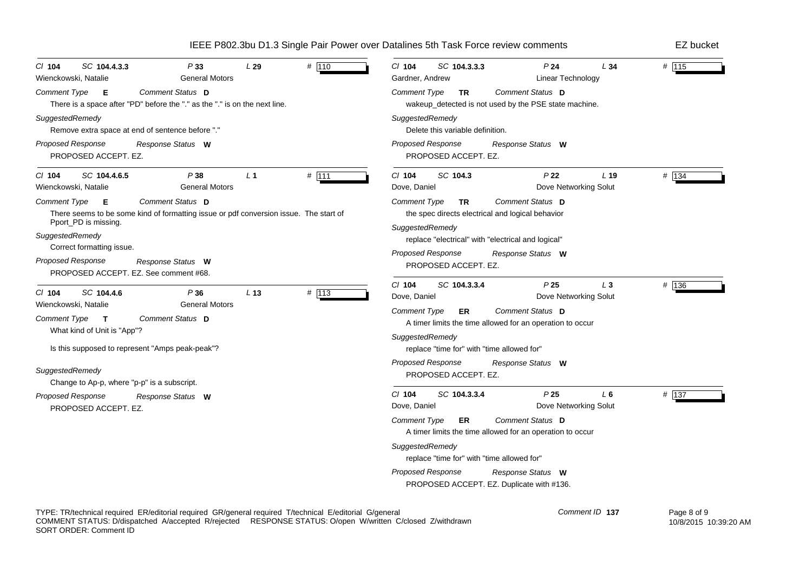| # 110<br>SC 104.4.3.3<br>P33<br>L29<br>$CI$ 104<br>Wienckowski, Natalie<br><b>General Motors</b>                                                                                 | # 115<br>CI 104<br>SC 104.3.3.3<br>P24<br>L34<br>Gardner, Andrew<br><b>Linear Technology</b>                                |  |  |  |  |  |
|----------------------------------------------------------------------------------------------------------------------------------------------------------------------------------|-----------------------------------------------------------------------------------------------------------------------------|--|--|--|--|--|
| Comment Type<br>Comment Status D<br>E<br>There is a space after "PD" before the "." as the "." is on the next line.                                                              | Comment Status D<br>Comment Type<br><b>TR</b><br>wakeup_detected is not used by the PSE state machine.                      |  |  |  |  |  |
| SuggestedRemedy<br>Remove extra space at end of sentence before "."                                                                                                              | SuggestedRemedy<br>Delete this variable definition.                                                                         |  |  |  |  |  |
| Proposed Response<br>Response Status W<br>PROPOSED ACCEPT. EZ.                                                                                                                   | <b>Proposed Response</b><br>Response Status W<br>PROPOSED ACCEPT. EZ.                                                       |  |  |  |  |  |
| $#$ 111<br>SC 104.4.6.5<br>P38<br>L <sub>1</sub><br>$CI$ 104<br>Wienckowski, Natalie<br><b>General Motors</b>                                                                    | # 134<br>$Cl$ 104<br>SC 104.3<br>P <sub>22</sub><br>L <sub>19</sub><br>Dove Networking Solut<br>Dove, Daniel                |  |  |  |  |  |
| Comment Status D<br><b>Comment Type</b><br>Е<br>There seems to be some kind of formatting issue or pdf conversion issue. The start of<br>Pport_PD is missing.<br>SuggestedRemedy | Comment Status D<br><b>Comment Type</b><br>TR<br>the spec directs electrical and logical behavior<br>SuggestedRemedy        |  |  |  |  |  |
| Correct formatting issue.<br><b>Proposed Response</b><br>Response Status W<br>PROPOSED ACCEPT. EZ. See comment #68.                                                              | replace "electrical" with "electrical and logical"<br><b>Proposed Response</b><br>Response Status W<br>PROPOSED ACCEPT. EZ. |  |  |  |  |  |
| SC 104.4.6<br>L <sub>13</sub><br># $113$<br>$CI$ 104<br>P36<br>Wienckowski, Natalie<br><b>General Motors</b>                                                                     | P <sub>25</sub><br>$CI$ 104<br>SC 104.3.3.4<br>L <sub>3</sub><br>$#$ 136<br>Dove, Daniel<br>Dove Networking Solut           |  |  |  |  |  |
| Comment Type<br>Comment Status D<br>$\mathbf{T}$<br>What kind of Unit is "App"?                                                                                                  | <b>Comment Status</b> D<br>Comment Type<br>ER.<br>A timer limits the time allowed for an operation to occur                 |  |  |  |  |  |
| Is this supposed to represent "Amps peak-peak"?                                                                                                                                  | SuggestedRemedy<br>replace "time for" with "time allowed for"                                                               |  |  |  |  |  |
| SuggestedRemedy<br>Change to Ap-p, where "p-p" is a subscript.                                                                                                                   | <b>Proposed Response</b><br>Response Status W<br>PROPOSED ACCEPT. EZ.                                                       |  |  |  |  |  |
| Proposed Response<br>Response Status W<br>PROPOSED ACCEPT. EZ.                                                                                                                   | # 137<br>$Cl$ 104<br>SC 104.3.3.4<br>P25<br>$L_6$<br>Dove Networking Solut<br>Dove, Daniel                                  |  |  |  |  |  |
|                                                                                                                                                                                  | Comment Status D<br><b>Comment Type</b><br>ER.<br>A timer limits the time allowed for an operation to occur                 |  |  |  |  |  |
|                                                                                                                                                                                  | SuggestedRemedy<br>replace "time for" with "time allowed for"                                                               |  |  |  |  |  |
|                                                                                                                                                                                  | <b>Proposed Response</b><br>Response Status W<br>PROPOSED ACCEPT. EZ. Duplicate with #136.                                  |  |  |  |  |  |

*Comment ID* **137**

 Page 8 of 9 10/8/2015 10:39:20 AM